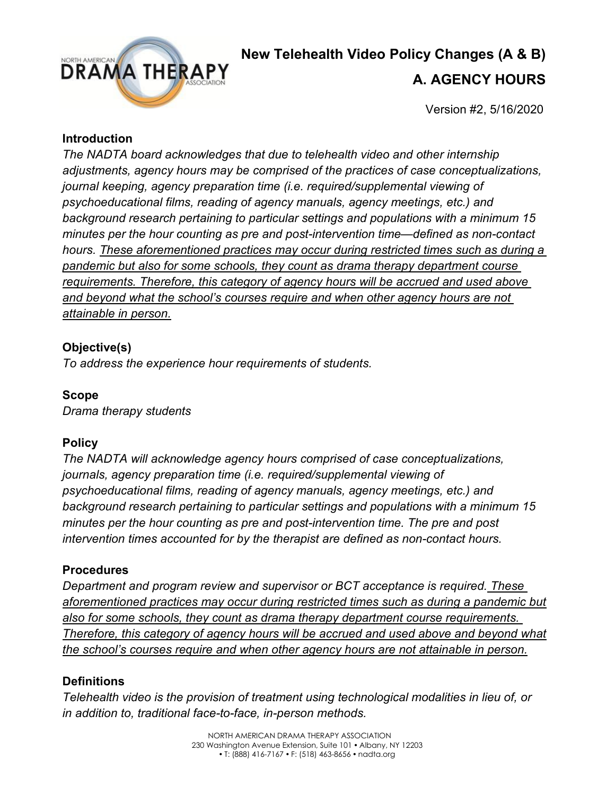

## **New Telehealth Video Policy Changes (A & B)**

### **A. AGENCY HOURS**

Version #2, 5/16/2020

### **Introduction**

*The NADTA board acknowledges that due to telehealth video and other internship adjustments, agency hours may be comprised of the practices of case conceptualizations, journal keeping, agency preparation time (i.e. required/supplemental viewing of psychoeducational films, reading of agency manuals, agency meetings, etc.) and background research pertaining to particular settings and populations with a minimum 15 minutes per the hour counting as pre and post-intervention time—defined as non-contact hours. These aforementioned practices may occur during restricted times such as during a pandemic but also for some schools, they count as drama therapy department course requirements. Therefore, this category of agency hours will be accrued and used above and beyond what the school's courses require and when other agency hours are not attainable in person.*

### **Objective(s)**

*To address the experience hour requirements of students.*

### **Scope**

*Drama therapy students*

### **Policy**

*The NADTA will acknowledge agency hours comprised of case conceptualizations, journals, agency preparation time (i.e. required/supplemental viewing of psychoeducational films, reading of agency manuals, agency meetings, etc.) and background research pertaining to particular settings and populations with a minimum 15 minutes per the hour counting as pre and post-intervention time. The pre and post intervention times accounted for by the therapist are defined as non-contact hours.*

### **Procedures**

*Department and program review and supervisor or BCT acceptance is required. These aforementioned practices may occur during restricted times such as during a pandemic but also for some schools, they count as drama therapy department course requirements. Therefore, this category of agency hours will be accrued and used above and beyond what the school's courses require and when other agency hours are not attainable in person.*

### **Definitions**

*Telehealth video is the provision of treatment using technological modalities in lieu of, or in addition to, traditional face-to-face, in-person methods.*